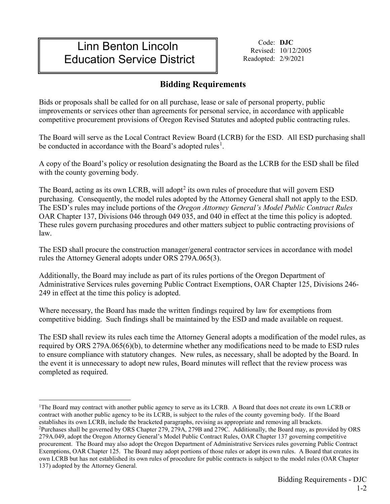# Linn Benton Lincoln Education Service District

Code: **DJC** Revised: 10/12/2005 Readopted: 2/9/2021

# **Bidding Requirements**

Bids or proposals shall be called for on all purchase, lease or sale of personal property, public improvements or services other than agreements for personal service, in accordance with applicable competitive procurement provisions of Oregon Revised Statutes and adopted public contracting rules.

The Board will serve as the Local Contract Review Board (LCRB) for the ESD. All ESD purchasing shall be conducted in accordance with the Board's adopted rules<sup>[1](#page-0-0)</sup>.

A copy of the Board's policy or resolution designating the Board as the LCRB for the ESD shall be filed with the county governing body.

The Board, acting as its own LCRB, will adopt<sup>[2](#page-0-1)</sup> its own rules of procedure that will govern ESD purchasing. Consequently, the model rules adopted by the Attorney General shall not apply to the ESD. The ESD's rules may include portions of the *Oregon Attorney General's Model Public Contract Rules* OAR Chapter 137, Divisions 046 through 049 035, and 040 in effect at the time this policy is adopted. These rules govern purchasing procedures and other matters subject to public contracting provisions of law.

The ESD shall procure the construction manager/general contractor services in accordance with model rules the Attorney General adopts under ORS 279A.065(3).

Additionally, the Board may include as part of its rules portions of the Oregon Department of Administrative Services rules governing Public Contract Exemptions, OAR Chapter 125, Divisions 246- 249 in effect at the time this policy is adopted.

Where necessary, the Board has made the written findings required by law for exemptions from competitive bidding. Such findings shall be maintained by the ESD and made available on request.

The ESD shall review its rules each time the Attorney General adopts a modification of the model rules, as required by ORS 279A.065(6)(b), to determine whether any modifications need to be made to ESD rules to ensure compliance with statutory changes. New rules, as necessary, shall be adopted by the Board. In the event it is unnecessary to adopt new rules, Board minutes will reflect that the review process was completed as required.

<span id="page-0-0"></span> $\frac{1}{1}$ <sup>1</sup>The Board may contract with another public agency to serve as its LCRB. A Board that does not create its own LCRB or contract with another public agency to be its LCRB, is subject to the rules of the county governing body. If the Board establishes its own LCRB, include the bracketed paragraphs, revising as appropriate and removing all brackets. 2 Purchases shall be governed by ORS Chapter 279, 279A, 279B and 279C. Additionally, the Board may, as provided by ORS 279A.049, adopt the Oregon Attorney General's Model Public Contract Rules, OAR Chapter 137 governing competitive procurement. The Board may also adopt the Oregon Department of Administrative Services rules governing Public Contract Exemptions, OAR Chapter 125. The Board may adopt portions of those rules or adopt its own rules. A Board that creates its

<span id="page-0-1"></span>own LCRB but has not established its own rules of procedure for public contracts is subject to the model rules (OAR Chapter 137) adopted by the Attorney General.